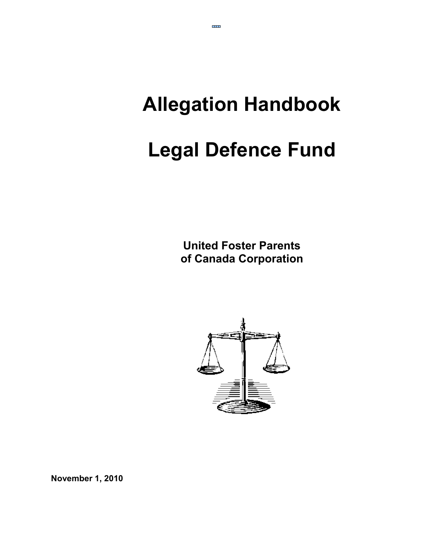# **Allegation Handbook Legal Defence Fund**

**United Foster Parents of Canada Corporation**



**November 1, 2010**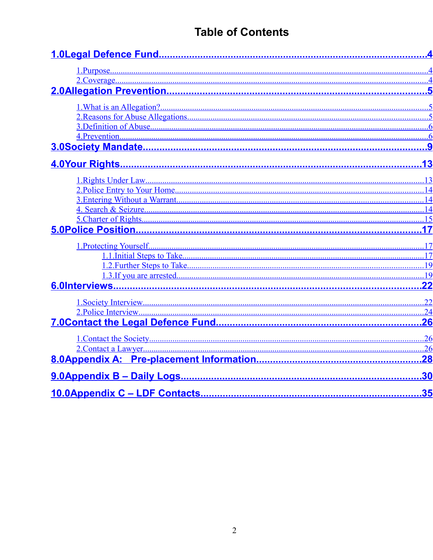# **Table of Contents**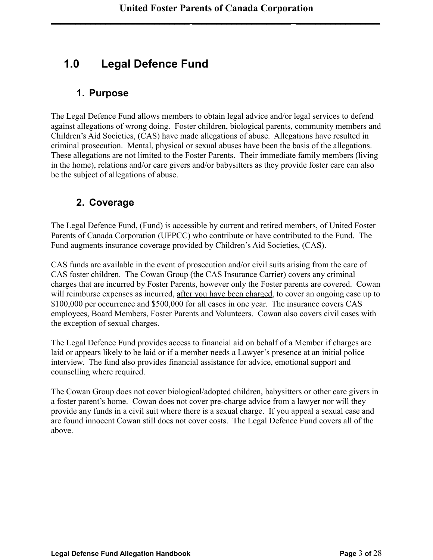# <span id="page-2-0"></span>**1.0 Legal Defence Fund**

## <span id="page-2-2"></span>**1. Purpose**

The Legal Defence Fund allows members to obtain legal advice and/or legal services to defend against allegations of wrong doing. Foster children, biological parents, community members and Children's Aid Societies, (CAS) have made allegations of abuse. Allegations have resulted in criminal prosecution. Mental, physical or sexual abuses have been the basis of the allegations. These allegations are not limited to the Foster Parents. Their immediate family members (living in the home), relations and/or care givers and/or babysitters as they provide foster care can also be the subject of allegations of abuse.

## <span id="page-2-1"></span>**2. Coverage**

The Legal Defence Fund, (Fund) is accessible by current and retired members, of United Foster Parents of Canada Corporation (UFPCC) who contribute or have contributed to the Fund. The Fund augments insurance coverage provided by Children's Aid Societies, (CAS).

CAS funds are available in the event of prosecution and/or civil suits arising from the care of CAS foster children. The Cowan Group (the CAS Insurance Carrier) covers any criminal charges that are incurred by Foster Parents, however only the Foster parents are covered. Cowan will reimburse expenses as incurred, after you have been charged, to cover an ongoing case up to \$100,000 per occurrence and \$500,000 for all cases in one year. The insurance covers CAS employees, Board Members, Foster Parents and Volunteers. Cowan also covers civil cases with the exception of sexual charges.

The Legal Defence Fund provides access to financial aid on behalf of a Member if charges are laid or appears likely to be laid or if a member needs a Lawyer's presence at an initial police interview. The fund also provides financial assistance for advice, emotional support and counselling where required.

The Cowan Group does not cover biological/adopted children, babysitters or other care givers in a foster parent's home. Cowan does not cover pre-charge advice from a lawyer nor will they provide any funds in a civil suit where there is a sexual charge. If you appeal a sexual case and are found innocent Cowan still does not cover costs. The Legal Defence Fund covers all of the above.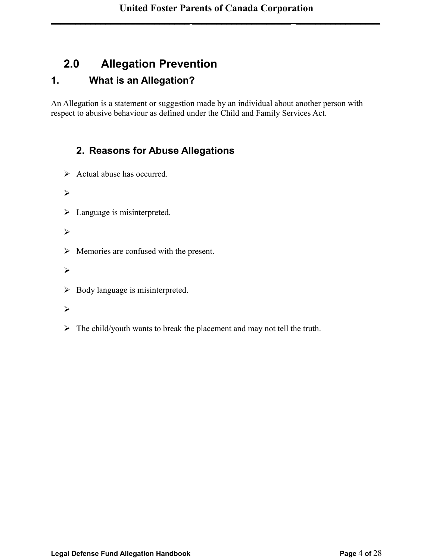# <span id="page-3-2"></span><span id="page-3-1"></span>**2.0 Allegation Prevention**

# **1. What is an Allegation?**

An Allegation is a statement or suggestion made by an individual about another person with respect to abusive behaviour as defined under the Child and Family Services Act.

# <span id="page-3-0"></span>**2. Reasons for Abuse Allegations**

- $\triangleright$  Actual abuse has occurred.
- $\blacktriangleright$
- > Language is misinterpreted.
- $\blacktriangleright$
- $\triangleright$  Memories are confused with the present.
- $\blacktriangleright$
- $\triangleright$  Body language is misinterpreted.
- $\blacktriangleright$
- $\triangleright$  The child/youth wants to break the placement and may not tell the truth.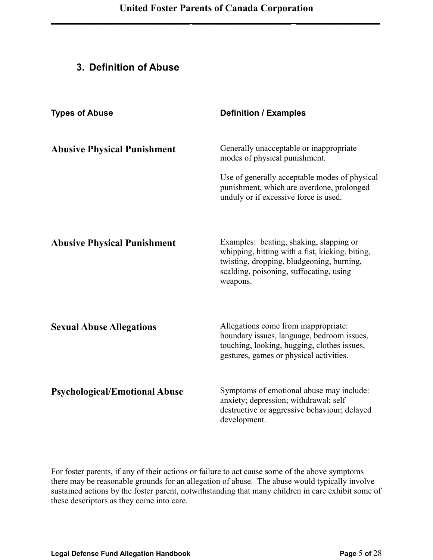## <span id="page-4-0"></span>**3. Definition of Abuse**

| <b>Types of Abuse</b>                | <b>Definition / Examples</b>                                                                                                                                                                                    |
|--------------------------------------|-----------------------------------------------------------------------------------------------------------------------------------------------------------------------------------------------------------------|
| <b>Abusive Physical Punishment</b>   | Generally unacceptable or inappropriate<br>modes of physical punishment.<br>Use of generally acceptable modes of physical<br>punishment, which are overdone, prolonged<br>unduly or if excessive force is used. |
| <b>Abusive Physical Punishment</b>   | Examples: beating, shaking, slapping or<br>whipping, hitting with a fist, kicking, biting,<br>twisting, dropping, bludgeoning, burning,<br>scalding, poisoning, suffocating, using<br>weapons.                  |
| <b>Sexual Abuse Allegations</b>      | Allegations come from inappropriate:<br>boundary issues, language, bedroom issues,<br>touching, looking, hugging, clothes issues,<br>gestures, games or physical activities.                                    |
| <b>Psychological/Emotional Abuse</b> | Symptoms of emotional abuse may include:<br>anxiety; depression; withdrawal; self<br>destructive or aggressive behaviour; delayed<br>development.                                                               |

For foster parents, if any of their actions or failure to act cause some of the above symptoms there may be reasonable grounds for an allegation of abuse. The abuse would typically involve sustained actions by the foster parent, notwithstanding that many children in care exhibit some of these descriptors as they come into care.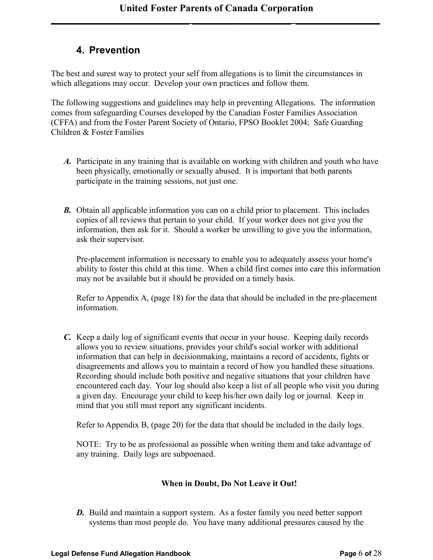## <span id="page-5-0"></span>**4. Prevention**

The best and surest way to protect your self from allegations is to limit the circumstances in which allegations may occur. Develop your own practices and follow them.

The following suggestions and guidelines may help in preventing Allegations. The information comes from safeguarding Courses developed by the Canadian Foster Families Association (CFFA) and from the Foster Parent Society of Ontario, FPSO Booklet 2004; Safe Guarding Children & Foster Families

- *A.* Participate in any training that is available on working with children and youth who have been physically, emotionally or sexually abused. It is important that both parents participate in the training sessions, not just one.
- *B.* Obtain all applicable information you can on a child prior to placement. This includes copies of all reviews that pertain to your child. If your worker does not give you the information, then ask for it. Should a worker be unwilling to give you the information, ask their supervisor.

Pre-placement information is necessary to enable you to adequately assess your home's ability to foster this child at this time. When a child first comes into care this information may not be available but it should be provided on a timely basis.

Refer to Appendix A, (page 18) for the data that should be included in the pre-placement information.

*C.* Keep a daily log of significant events that occur in your house. Keeping daily records allows you to review situations, provides your child's social worker with additional information that can help in decisionmaking, maintains a record of accidents, fights or disagreements and allows you to maintain a record of how you handled these situations. Recording should include both positive and negative situations that your children have encountered each day. Your log should also keep a list of all people who visit you during a given day. Encourage your child to keep his/her own daily log or journal. Keep in mind that you still must report any significant incidents.

Refer to Appendix B, (page 20) for the data that should be included in the daily logs.

NOTE: Try to be as professional as possible when writing them and take advantage of any training. Daily logs are subpoenaed.

#### **When in Doubt, Do Not Leave it Out!**

*D.* Build and maintain a support system. As a foster family you need better support systems than most people do. You have many additional pressures caused by the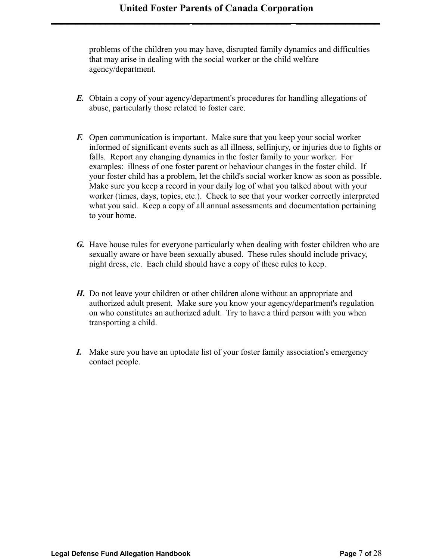problems of the children you may have, disrupted family dynamics and difficulties that may arise in dealing with the social worker or the child welfare agency/department.

- *E.* Obtain a copy of your agency/department's procedures for handling allegations of abuse, particularly those related to foster care.
- *F.* Open communication is important. Make sure that you keep your social worker informed of significant events such as all illness, selfinjury, or injuries due to fights or falls. Report any changing dynamics in the foster family to your worker. For examples: illness of one foster parent or behaviour changes in the foster child. If your foster child has a problem, let the child's social worker know as soon as possible. Make sure you keep a record in your daily log of what you talked about with your worker (times, days, topics, etc.). Check to see that your worker correctly interpreted what you said. Keep a copy of all annual assessments and documentation pertaining to your home.
- *G.* Have house rules for everyone particularly when dealing with foster children who are sexually aware or have been sexually abused. These rules should include privacy, night dress, etc. Each child should have a copy of these rules to keep.
- *H.* Do not leave your children or other children alone without an appropriate and authorized adult present. Make sure you know your agency/department's regulation on who constitutes an authorized adult. Try to have a third person with you when transporting a child.
- *I.* Make sure you have an uptodate list of your foster family association's emergency contact people.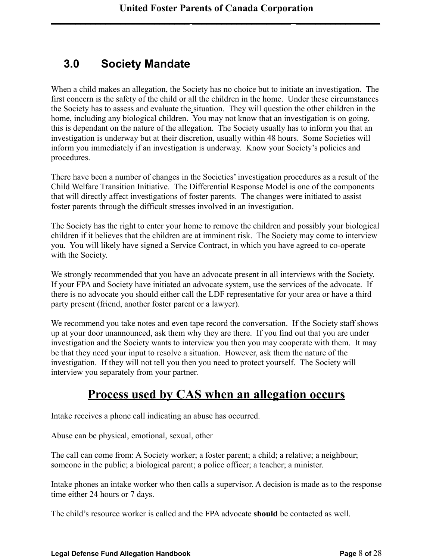# <span id="page-7-0"></span>**3.0 Society Mandate**

When a child makes an allegation, the Society has no choice but to initiate an investigation. The first concern is the safety of the child or all the children in the home. Under these circumstances the Society has to assess and evaluate the situation. They will question the other children in the home, including any biological children. You may not know that an investigation is on going, this is dependant on the nature of the allegation. The Society usually has to inform you that an investigation is underway but at their discretion, usually within 48 hours. Some Societies will inform you immediately if an investigation is underway. Know your Society's policies and procedures.

There have been a number of changes in the Societies' investigation procedures as a result of the Child Welfare Transition Initiative. The Differential Response Model is one of the components that will directly affect investigations of foster parents. The changes were initiated to assist foster parents through the difficult stresses involved in an investigation.

The Society has the right to enter your home to remove the children and possibly your biological children if it believes that the children are at imminent risk. The Society may come to interview you. You will likely have signed a Service Contract, in which you have agreed to co-operate with the Society.

We strongly recommended that you have an advocate present in all interviews with the Society. If your FPA and Society have initiated an advocate system, use the services of the advocate. If there is no advocate you should either call the LDF representative for your area or have a third party present (friend, another foster parent or a lawyer).

We recommend you take notes and even tape record the conversation. If the Society staff shows up at your door unannounced, ask them why they are there. If you find out that you are under investigation and the Society wants to interview you then you may cooperate with them. It may be that they need your input to resolve a situation. However, ask them the nature of the investigation. If they will not tell you then you need to protect yourself. The Society will interview you separately from your partner.

# **Process used by CAS when an allegation occurs**

Intake receives a phone call indicating an abuse has occurred.

Abuse can be physical, emotional, sexual, other

The call can come from: A Society worker; a foster parent; a child; a relative; a neighbour; someone in the public; a biological parent; a police officer; a teacher; a minister.

Intake phones an intake worker who then calls a supervisor. A decision is made as to the response time either 24 hours or 7 days.

The child's resource worker is called and the FPA advocate **should** be contacted as well.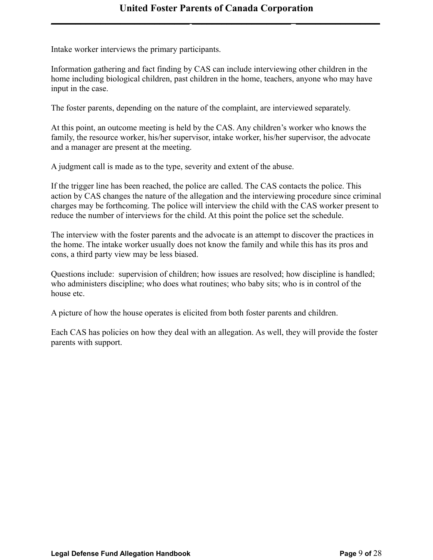Intake worker interviews the primary participants.

Information gathering and fact finding by CAS can include interviewing other children in the home including biological children, past children in the home, teachers, anyone who may have input in the case.

The foster parents, depending on the nature of the complaint, are interviewed separately.

At this point, an outcome meeting is held by the CAS. Any children's worker who knows the family, the resource worker, his/her supervisor, intake worker, his/her supervisor, the advocate and a manager are present at the meeting.

A judgment call is made as to the type, severity and extent of the abuse.

If the trigger line has been reached, the police are called. The CAS contacts the police. This action by CAS changes the nature of the allegation and the interviewing procedure since criminal charges may be forthcoming. The police will interview the child with the CAS worker present to reduce the number of interviews for the child. At this point the police set the schedule.

The interview with the foster parents and the advocate is an attempt to discover the practices in the home. The intake worker usually does not know the family and while this has its pros and cons, a third party view may be less biased.

Questions include: supervision of children; how issues are resolved; how discipline is handled; who administers discipline; who does what routines; who baby sits; who is in control of the house etc.

A picture of how the house operates is elicited from both foster parents and children.

Each CAS has policies on how they deal with an allegation. As well, they will provide the foster parents with support.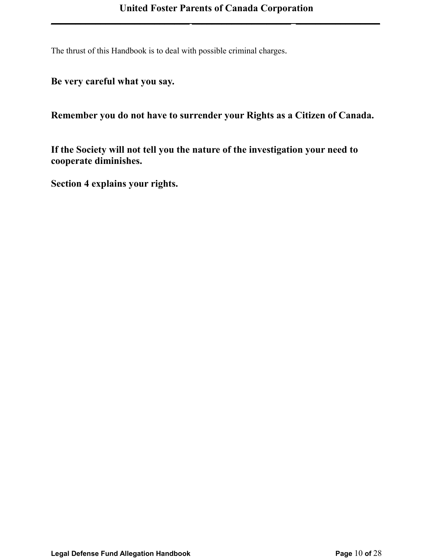The thrust of this Handbook is to deal with possible criminal charges.

**Be very careful what you say.**

**Remember you do not have to surrender your Rights as a Citizen of Canada.**

**If the Society will not tell you the nature of the investigation your need to cooperate diminishes.**

**Section 4 explains your rights.**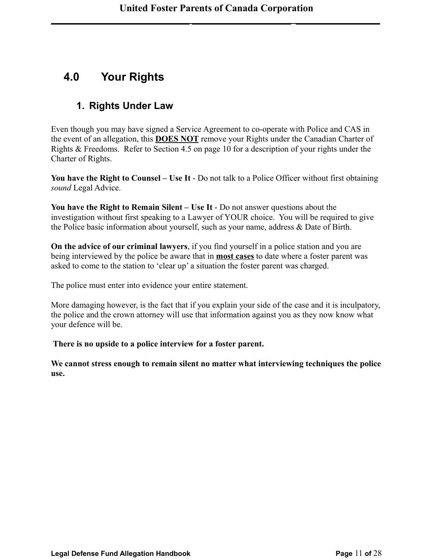# <span id="page-10-1"></span>**4.0 Your Rights**

## <span id="page-10-0"></span>**1. Rights Under Law**

Even though you may have signed a Service Agreement to co-operate with Police and CAS in the event of an allegation, this **DOES NOT** remove your Rights under the Canadian Charter of Rights & Freedoms. Refer to Section 4.5 on page 10 for a description of your rights under the Charter of Rights.

**You have the Right to Counsel – Use It** - Do not talk to a Police Officer without first obtaining *sound* Legal Advice.

**You have the Right to Remain Silent – Use It** - Do not answer questions about the investigation without first speaking to a Lawyer of YOUR choice. You will be required to give the Police basic information about yourself, such as your name, address & Date of Birth.

**On the advice of our criminal lawyers**, if you find yourself in a police station and you are being interviewed by the police be aware that in **most cases** to date where a foster parent was asked to come to the station to 'clear up' a situation the foster parent was charged.

The police must enter into evidence your entire statement.

More damaging however, is the fact that if you explain your side of the case and it is inculpatory, the police and the crown attorney will use that information against you as they now know what your defence will be.

**There is no upside to a police interview for a foster parent.**

**We cannot stress enough to remain silent no matter what interviewing techniques the police use.**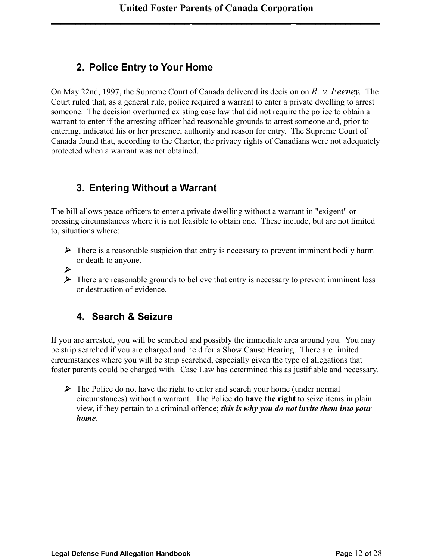# <span id="page-11-2"></span>**2. Police Entry to Your Home**

On May 22nd, 1997, the Supreme Court of Canada delivered its decision on *R. v. Feeney.* The Court ruled that, as a general rule, police required a warrant to enter a private dwelling to arrest someone. The decision overturned existing case law that did not require the police to obtain a warrant to enter if the arresting officer had reasonable grounds to arrest someone and, prior to entering, indicated his or her presence, authority and reason for entry. The Supreme Court of Canada found that, according to the Charter, the privacy rights of Canadians were not adequately protected when a warrant was not obtained.

# <span id="page-11-1"></span>**3. Entering Without a Warrant**

The bill allows peace officers to enter a private dwelling without a warrant in "exigent" or pressing circumstances where it is not feasible to obtain one. These include, but are not limited to, situations where:

- $\triangleright$  There is a reasonable suspicion that entry is necessary to prevent imminent bodily harm or death to anyone.
- $\blacktriangleright$
- $\triangleright$  There are reasonable grounds to believe that entry is necessary to prevent imminent loss or destruction of evidence.

## <span id="page-11-0"></span>**4. Search & Seizure**

If you are arrested, you will be searched and possibly the immediate area around you. You may be strip searched if you are charged and held for a Show Cause Hearing. There are limited circumstances where you will be strip searched, especially given the type of allegations that foster parents could be charged with. Case Law has determined this as justifiable and necessary.

 $\triangleright$  The Police do not have the right to enter and search your home (under normal circumstances) without a warrant. The Police **do have the right** to seize items in plain view, if they pertain to a criminal offence; *this is why you do not invite them into your home*.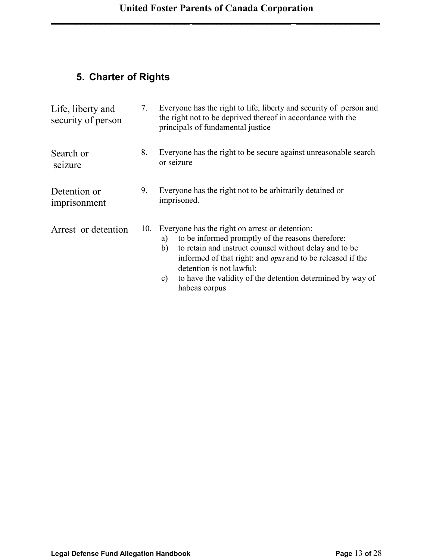# <span id="page-12-0"></span>**5. Charter of Rights**

| Life, liberty and<br>security of person | 7.  | Everyone has the right to life, liberty and security of person and<br>the right not to be deprived thereof in accordance with the<br>principals of fundamental justice                                                                                                                                                                                          |  |  |
|-----------------------------------------|-----|-----------------------------------------------------------------------------------------------------------------------------------------------------------------------------------------------------------------------------------------------------------------------------------------------------------------------------------------------------------------|--|--|
| Search or<br>seizure                    | 8.  | Everyone has the right to be secure against unreasonable search<br>or seizure                                                                                                                                                                                                                                                                                   |  |  |
| Detention or<br>imprisonment            | 9.  | Everyone has the right not to be arbitrarily detained or<br>imprisoned.                                                                                                                                                                                                                                                                                         |  |  |
| Arrest or detention                     | 10. | Everyone has the right on arrest or detention:<br>to be informed promptly of the reasons therefore:<br>a)<br>b)<br>to retain and instruct counsel without delay and to be<br>informed of that right: and <i>opus</i> and to be released if the<br>detention is not lawful:<br>to have the validity of the detention determined by way of<br>c)<br>habeas corpus |  |  |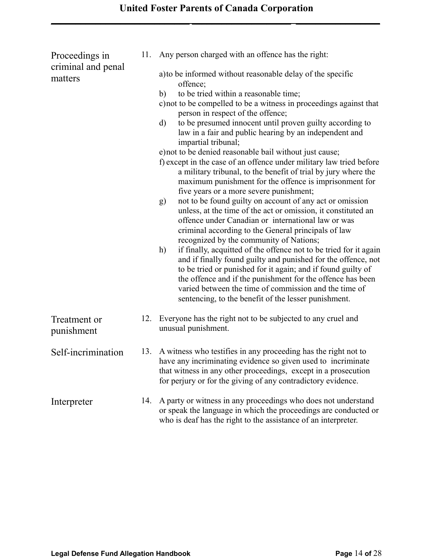| Proceedings in<br>criminal and penal<br>matters | 11. | Any person charged with an offence has the right:<br>a) to be informed without reasonable delay of the specific<br>offence;<br>to be tried within a reasonable time;<br>b)<br>c) not to be compelled to be a witness in proceedings against that<br>person in respect of the offence;<br>$\rm d)$<br>to be presumed innocent until proven guilty according to<br>law in a fair and public hearing by an independent and<br>impartial tribunal;<br>e) not to be denied reasonable bail without just cause;<br>f) except in the case of an offence under military law tried before<br>a military tribunal, to the benefit of trial by jury where the<br>maximum punishment for the offence is imprisonment for<br>five years or a more severe punishment;<br>not to be found guilty on account of any act or omission<br>g)<br>unless, at the time of the act or omission, it constituted an<br>offence under Canadian or international law or was<br>criminal according to the General principals of law<br>recognized by the community of Nations;<br>h)<br>if finally, acquitted of the offence not to be tried for it again<br>and if finally found guilty and punished for the offence, not<br>to be tried or punished for it again; and if found guilty of<br>the offence and if the punishment for the offence has been<br>varied between the time of commission and the time of<br>sentencing, to the benefit of the lesser punishment. |  |
|-------------------------------------------------|-----|-----------------------------------------------------------------------------------------------------------------------------------------------------------------------------------------------------------------------------------------------------------------------------------------------------------------------------------------------------------------------------------------------------------------------------------------------------------------------------------------------------------------------------------------------------------------------------------------------------------------------------------------------------------------------------------------------------------------------------------------------------------------------------------------------------------------------------------------------------------------------------------------------------------------------------------------------------------------------------------------------------------------------------------------------------------------------------------------------------------------------------------------------------------------------------------------------------------------------------------------------------------------------------------------------------------------------------------------------------------------------------------------------------------------------------------------------|--|
| Treatment or<br>punishment                      | 12. | Everyone has the right not to be subjected to any cruel and<br>unusual punishment.                                                                                                                                                                                                                                                                                                                                                                                                                                                                                                                                                                                                                                                                                                                                                                                                                                                                                                                                                                                                                                                                                                                                                                                                                                                                                                                                                            |  |
| Self-incrimination                              | 13. | A witness who testifies in any proceeding has the right not to<br>have any incriminating evidence so given used to incriminate<br>that witness in any other proceedings, except in a prosecution<br>for perjury or for the giving of any contradictory evidence.                                                                                                                                                                                                                                                                                                                                                                                                                                                                                                                                                                                                                                                                                                                                                                                                                                                                                                                                                                                                                                                                                                                                                                              |  |
| Interpreter                                     | 14. | A party or witness in any proceedings who does not understand<br>or speak the language in which the proceedings are conducted or<br>who is deaf has the right to the assistance of an interpreter.                                                                                                                                                                                                                                                                                                                                                                                                                                                                                                                                                                                                                                                                                                                                                                                                                                                                                                                                                                                                                                                                                                                                                                                                                                            |  |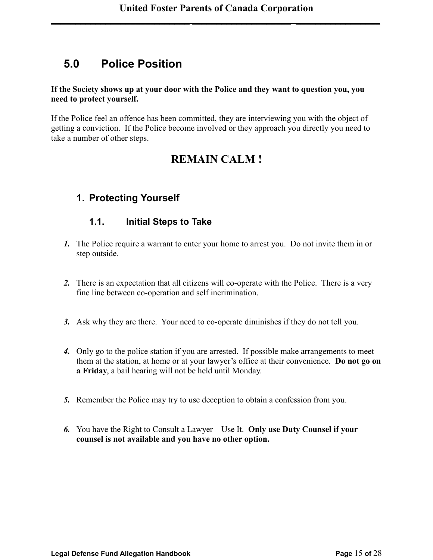# <span id="page-14-2"></span>**5.0 Police Position**

#### **If the Society shows up at your door with the Police and they want to question you, you need to protect yourself.**

If the Police feel an offence has been committed, they are interviewing you with the object of getting a conviction. If the Police become involved or they approach you directly you need to take a number of other steps.

# **REMAIN CALM !**

## <span id="page-14-1"></span>**1. Protecting Yourself**

### <span id="page-14-0"></span>**1.1. Initial Steps to Take**

- *1.* The Police require a warrant to enter your home to arrest you. Do not invite them in or step outside.
- *2.* There is an expectation that all citizens will co-operate with the Police. There is a very fine line between co-operation and self incrimination.
- *3.* Ask why they are there. Your need to co-operate diminishes if they do not tell you.
- *4.* Only go to the police station if you are arrested. If possible make arrangements to meet them at the station, at home or at your lawyer's office at their convenience. **Do not go on a Friday**, a bail hearing will not be held until Monday.
- *5.* Remember the Police may try to use deception to obtain a confession from you.
- *6.* You have the Right to Consult a Lawyer Use It. **Only use Duty Counsel if your counsel is not available and you have no other option.**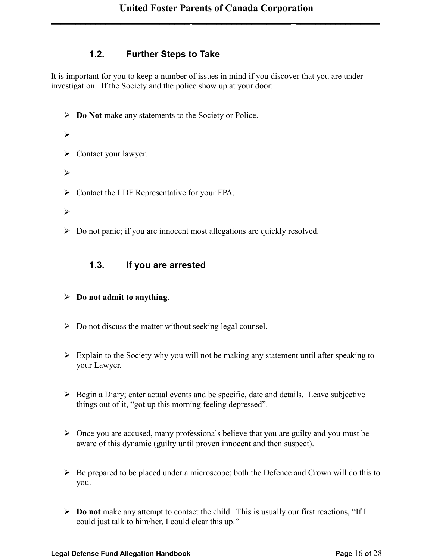## <span id="page-15-1"></span>**1.2. Further Steps to Take**

It is important for you to keep a number of issues in mind if you discover that you are under investigation. If the Society and the police show up at your door:

- **Do Not** make any statements to the Society or Police.
- $\blacktriangleright$
- $\triangleright$  Contact your lawyer.
- $\blacktriangleright$
- $\triangleright$  Contact the LDF Representative for your FPA.
- $\blacktriangleright$
- $\triangleright$  Do not panic; if you are innocent most allegations are quickly resolved.

#### <span id="page-15-0"></span>**1.3. If you are arrested**

#### **Do not admit to anything**.

- $\triangleright$  Do not discuss the matter without seeking legal counsel.
- $\triangleright$  Explain to the Society why you will not be making any statement until after speaking to your Lawyer.
- $\triangleright$  Begin a Diary; enter actual events and be specific, date and details. Leave subjective things out of it, "got up this morning feeling depressed".
- $\triangleright$  Once you are accused, many professionals believe that you are guilty and you must be aware of this dynamic (guilty until proven innocent and then suspect).
- $\triangleright$  Be prepared to be placed under a microscope; both the Defence and Crown will do this to you.
- **Do not** make any attempt to contact the child. This is usually our first reactions, "If I could just talk to him/her, I could clear this up."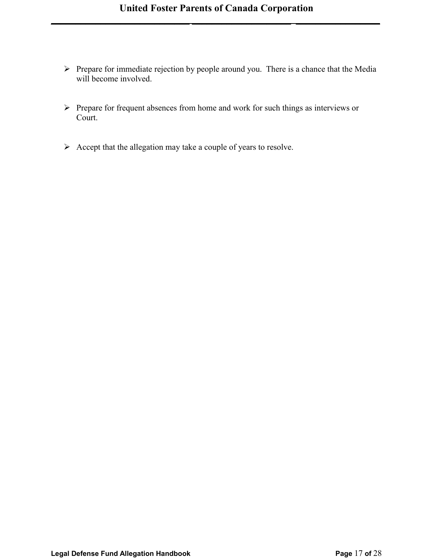- $\triangleright$  Prepare for immediate rejection by people around you. There is a chance that the Media will become involved.
- $\triangleright$  Prepare for frequent absences from home and work for such things as interviews or Court.
- $\triangleright$  Accept that the allegation may take a couple of years to resolve.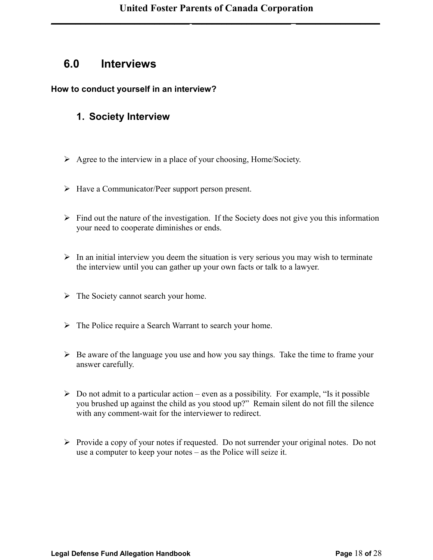# <span id="page-17-1"></span>**6.0 Interviews**

#### **How to conduct yourself in an interview?**

## <span id="page-17-0"></span>**1. Society Interview**

- Agree to the interview in a place of your choosing, Home/Society.
- Have a Communicator/Peer support person present.
- $\triangleright$  Find out the nature of the investigation. If the Society does not give you this information your need to cooperate diminishes or ends.
- $\triangleright$  In an initial interview you deem the situation is very serious you may wish to terminate the interview until you can gather up your own facts or talk to a lawyer.
- $\triangleright$  The Society cannot search your home.
- The Police require a Search Warrant to search your home.
- $\triangleright$  Be aware of the language you use and how you say things. Take the time to frame your answer carefully.
- $\triangleright$  Do not admit to a particular action even as a possibility. For example, "Is it possible you brushed up against the child as you stood up?" Remain silent do not fill the silence with any comment-wait for the interviewer to redirect.
- $\triangleright$  Provide a copy of your notes if requested. Do not surrender your original notes. Do not use a computer to keep your notes – as the Police will seize it.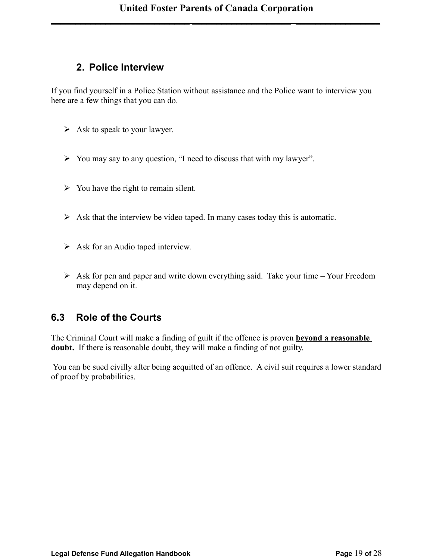## <span id="page-18-0"></span>**2. Police Interview**

If you find yourself in a Police Station without assistance and the Police want to interview you here are a few things that you can do.

- $\triangleright$  Ask to speak to your lawyer.
- $\triangleright$  You may say to any question, "I need to discuss that with my lawyer".
- $\triangleright$  You have the right to remain silent.
- $\triangleright$  Ask that the interview be video taped. In many cases today this is automatic.
- $\triangleright$  Ask for an Audio taped interview.
- $\triangleright$  Ask for pen and paper and write down everything said. Take your time Your Freedom may depend on it.

## **6.3 Role of the Courts**

The Criminal Court will make a finding of guilt if the offence is proven **beyond a reasonable doubt.** If there is reasonable doubt, they will make a finding of not guilty.

 You can be sued civilly after being acquitted of an offence. A civil suit requires a lower standard of proof by probabilities.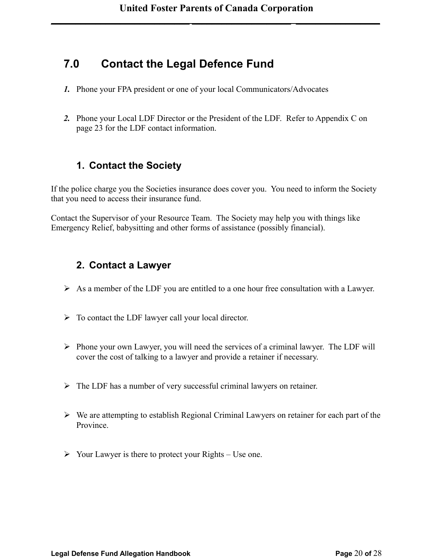# <span id="page-19-2"></span>**7.0 Contact the Legal Defence Fund**

- *1.* Phone your FPA president or one of your local Communicators/Advocates
- *2.* Phone your Local LDF Director or the President of the LDF. Refer to Appendix C on page 23 for the LDF contact information.

## <span id="page-19-1"></span>**1. Contact the Society**

If the police charge you the Societies insurance does cover you. You need to inform the Society that you need to access their insurance fund.

Contact the Supervisor of your Resource Team. The Society may help you with things like Emergency Relief, babysitting and other forms of assistance (possibly financial).

## <span id="page-19-0"></span>**2. Contact a Lawyer**

- $\triangleright$  As a member of the LDF you are entitled to a one hour free consultation with a Lawyer.
- $\triangleright$  To contact the LDF lawyer call your local director.
- $\triangleright$  Phone your own Lawyer, you will need the services of a criminal lawyer. The LDF will cover the cost of talking to a lawyer and provide a retainer if necessary.
- $\triangleright$  The LDF has a number of very successful criminal lawyers on retainer.
- $\triangleright$  We are attempting to establish Regional Criminal Lawyers on retainer for each part of the **Province**
- $\triangleright$  Your Lawyer is there to protect your Rights Use one.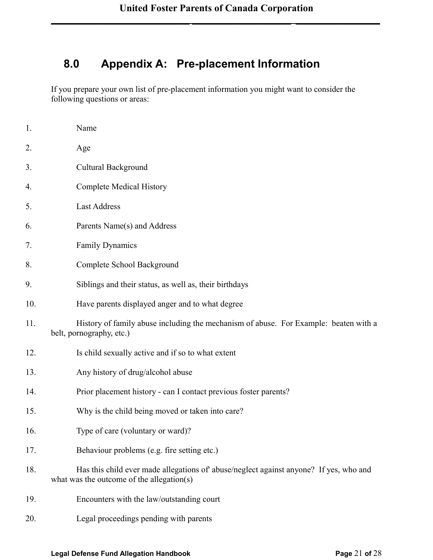# <span id="page-20-0"></span>**8.0 Appendix A: Pre-placement Information**

If you prepare your own list of pre-placement information you might want to consider the following questions or areas:

| 1.  | Name                                                                                                                               |
|-----|------------------------------------------------------------------------------------------------------------------------------------|
| 2.  | Age                                                                                                                                |
| 3.  | <b>Cultural Background</b>                                                                                                         |
| 4.  | <b>Complete Medical History</b>                                                                                                    |
| 5.  | <b>Last Address</b>                                                                                                                |
| 6.  | Parents Name(s) and Address                                                                                                        |
| 7.  | <b>Family Dynamics</b>                                                                                                             |
| 8.  | Complete School Background                                                                                                         |
| 9.  | Siblings and their status, as well as, their birthdays                                                                             |
| 10. | Have parents displayed anger and to what degree                                                                                    |
| 11. | History of family abuse including the mechanism of abuse. For Example: beaten with a<br>belt, pornography, etc.)                   |
| 12. | Is child sexually active and if so to what extent                                                                                  |
| 13. | Any history of drug/alcohol abuse                                                                                                  |
| 14. | Prior placement history - can I contact previous foster parents?                                                                   |
| 15. | Why is the child being moved or taken into care?                                                                                   |
| 16. | Type of care (voluntary or ward)?                                                                                                  |
| 17. | Behaviour problems (e.g. fire setting etc.)                                                                                        |
| 18. | Has this child ever made allegations of abuse/neglect against anyone? If yes, who and<br>what was the outcome of the allegation(s) |
| 19. | Encounters with the law/outstanding court                                                                                          |
| 20. | Legal proceedings pending with parents                                                                                             |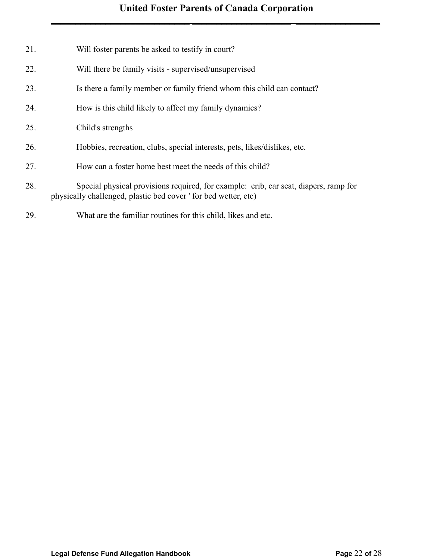## **United Foster Parents of Canada Corporation \_\_\_\_\_\_\_\_\_\_\_\_\_\_\_\_\_\_\_\_\_\_\_\_\_\_\_\_ \_\_\_\_\_\_\_\_\_\_\_\_\_\_\_\_\_\_\_\_ \_\_\_\_\_\_\_\_\_\_\_\_\_\_\_\_\_**

| 21. | Will foster parents be asked to testify in court?                                                                                                       |
|-----|---------------------------------------------------------------------------------------------------------------------------------------------------------|
| 22. | Will there be family visits - supervised/unsupervised                                                                                                   |
| 23. | Is there a family member or family friend whom this child can contact?                                                                                  |
| 24. | How is this child likely to affect my family dynamics?                                                                                                  |
| 25. | Child's strengths                                                                                                                                       |
| 26. | Hobbies, recreation, clubs, special interests, pets, likes/dislikes, etc.                                                                               |
| 27. | How can a foster home best meet the needs of this child?                                                                                                |
| 28. | Special physical provisions required, for example: crib, car seat, diapers, ramp for<br>physically challenged, plastic bed cover ' for bed wetter, etc) |
| 29. | What are the familiar routines for this child, likes and etc.                                                                                           |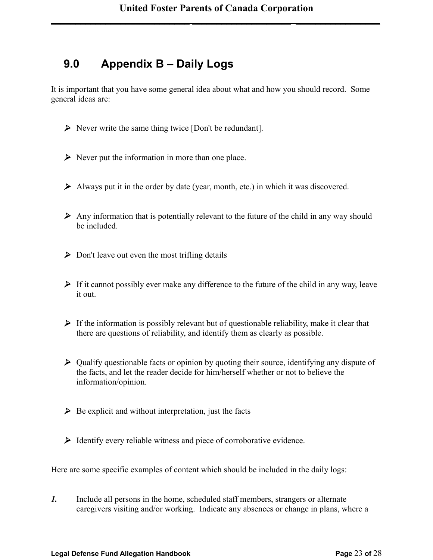# <span id="page-22-0"></span>**9.0 Appendix B – Daily Logs**

It is important that you have some general idea about what and how you should record. Some general ideas are:



- $\triangleright$  Never put the information in more than one place.
- $\triangleright$  Always put it in the order by date (year, month, etc.) in which it was discovered.
- $\triangleright$  Any information that is potentially relevant to the future of the child in any way should be included.
- $\triangleright$  Don't leave out even the most trifling details
- $\triangleright$  If it cannot possibly ever make any difference to the future of the child in any way, leave it out.
- $\triangleright$  If the information is possibly relevant but of questionable reliability, make it clear that there are questions of reliability, and identify them as clearly as possible.
- $\triangleright$  Qualify questionable facts or opinion by quoting their source, identifying any dispute of the facts, and let the reader decide for him/herself whether or not to believe the information/opinion.
- $\triangleright$  Be explicit and without interpretation, just the facts
- $\triangleright$  Identify every reliable witness and piece of corroborative evidence.

Here are some specific examples of content which should be included in the daily logs:

*1.* Include all persons in the home, scheduled staff members, strangers or alternate caregivers visiting and/or working. Indicate any absences or change in plans, where a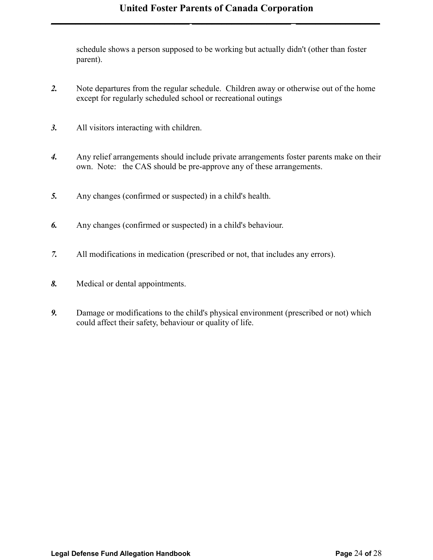schedule shows a person supposed to be working but actually didn't (other than foster parent).

- *2.* Note departures from the regular schedule. Children away or otherwise out of the home except for regularly scheduled school or recreational outings
- *3.* All visitors interacting with children.
- *4.* Any relief arrangements should include private arrangements foster parents make on their own. Note: the CAS should be pre-approve any of these arrangements.
- *5.* Any changes (confirmed or suspected) in a child's health.
- *6.* Any changes (confirmed or suspected) in a child's behaviour.
- *7.* All modifications in medication (prescribed or not, that includes any errors).
- *8.* Medical or dental appointments.
- *9.* Damage or modifications to the child's physical environment (prescribed or not) which could affect their safety, behaviour or quality of life.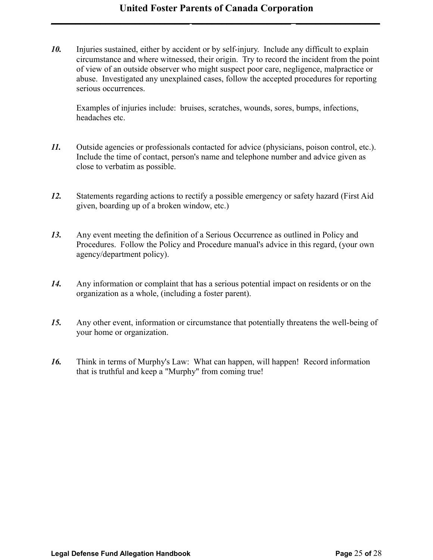## **United Foster Parents of Canada Corporation \_\_\_\_\_\_\_\_\_\_\_\_\_\_\_\_\_\_\_\_\_\_\_\_\_\_\_\_ \_\_\_\_\_\_\_\_\_\_\_\_\_\_\_\_\_\_\_\_ \_\_\_\_\_\_\_\_\_\_\_\_\_\_\_\_\_**

*10.* Injuries sustained, either by accident or by self-injury. Include any difficult to explain circumstance and where witnessed, their origin. Try to record the incident from the point of view of an outside observer who might suspect poor care, negligence, malpractice or abuse. Investigated any unexplained cases, follow the accepted procedures for reporting serious occurrences.

Examples of injuries include: bruises, scratches, wounds, sores, bumps, infections, headaches etc.

- *11.* Outside agencies or professionals contacted for advice (physicians, poison control, etc.). Include the time of contact, person's name and telephone number and advice given as close to verbatim as possible.
- *12.* Statements regarding actions to rectify a possible emergency or safety hazard (First Aid given, boarding up of a broken window, etc.)
- *13.* Any event meeting the definition of a Serious Occurrence as outlined in Policy and Procedures. Follow the Policy and Procedure manual's advice in this regard, (your own agency/department policy).
- *14.* Any information or complaint that has a serious potential impact on residents or on the organization as a whole, (including a foster parent).
- *15.* Any other event, information or circumstance that potentially threatens the well-being of your home or organization.
- *16.* Think in terms of Murphy's Law: What can happen, will happen! Record information that is truthful and keep a "Murphy" from coming true!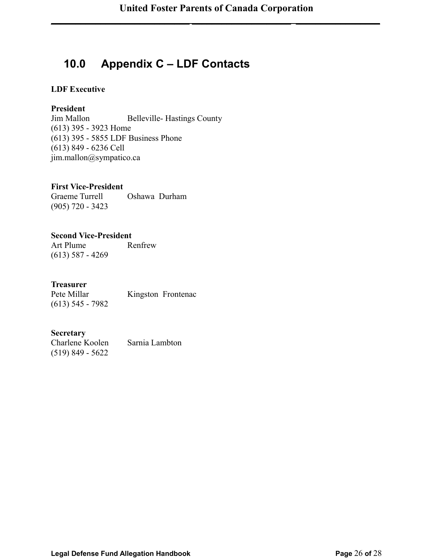# <span id="page-25-0"></span>**10.0 Appendix C – LDF Contacts**

#### **LDF Executive**

#### **President**

Jim Mallon Belleville- Hastings County (613) 395 - 3923 Home (613) 395 - 5855 LDF Business Phone (613) 849 - 6236 Cell jim.mallon@sympatico.ca

#### **First Vice-President**

Graeme Turrell Oshawa Durham (905) 720 - 3423

#### **Second Vice-President**

Art Plume Renfrew (613) 587 - 4269

#### **Treasurer**

Pete Millar Kingston Frontenac (613) 545 - 7982

#### **Secretary**

| Charlene Koolen  | Sarnia Lambton |
|------------------|----------------|
| (519) 849 - 5622 |                |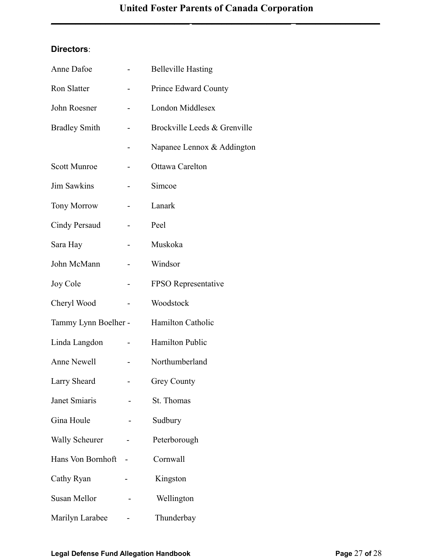# **United Foster Parents of Canada Corporation \_\_\_\_\_\_\_\_\_\_\_\_\_\_\_\_\_\_\_\_\_\_\_\_\_\_\_\_ \_\_\_\_\_\_\_\_\_\_\_\_\_\_\_\_\_\_\_\_ \_\_\_\_\_\_\_\_\_\_\_\_\_\_\_\_\_**

# **Directors**:

| Anne Dafoe            | <b>Belleville Hasting</b>    |
|-----------------------|------------------------------|
| Ron Slatter           | <b>Prince Edward County</b>  |
| John Roesner          | London Middlesex             |
| <b>Bradley Smith</b>  | Brockville Leeds & Grenville |
|                       | Napanee Lennox & Addington   |
| <b>Scott Munroe</b>   | Ottawa Carelton              |
| <b>Jim Sawkins</b>    | Simcoe                       |
| <b>Tony Morrow</b>    | Lanark                       |
| Cindy Persaud         | Peel                         |
| Sara Hay              | Muskoka                      |
| John McMann           | Windsor                      |
| Joy Cole              | FPSO Representative          |
| Cheryl Wood           | Woodstock                    |
| Tammy Lynn Boelher -  | Hamilton Catholic            |
| Linda Langdon         | Hamilton Public              |
| <b>Anne Newell</b>    | Northumberland               |
| Larry Sheard          | Grey County                  |
| <b>Janet Smiaris</b>  | St. Thomas                   |
| Gina Houle            | Sudbury                      |
| <b>Wally Scheurer</b> | Peterborough                 |
| Hans Von Bornhoft     | Cornwall                     |
| Cathy Ryan            | Kingston                     |
| Susan Mellor          | Wellington                   |
| Marilyn Larabee       | Thunderbay                   |